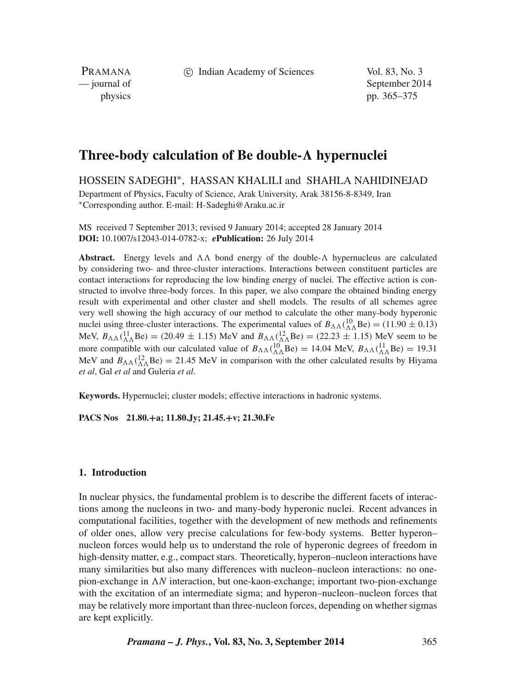c Indian Academy of Sciences Vol. 83, No. 3

PRAMANA

— journal of September 2014 physics pp. 365–375

# **Three-body calculation of Be double-***-* **hypernuclei**

HOSSEIN SADEGHI∗, HASSAN KHALILI and SHAHLA NAHIDINEJAD

Department of Physics, Faculty of Science, Arak University, Arak 38156-8-8349, Iran <sup>∗</sup>Corresponding author. E-mail: H-Sadeghi@Araku.ac.ir

MS received 7 September 2013; revised 9 January 2014; accepted 28 January 2014 **DOI:** 10.1007/s12043-014-0782-x; *e***Publication:** 26 July 2014

**Abstract.** Energy levels and  $\Lambda\Lambda$  bond energy of the double- $\Lambda$  hypernucleus are calculated by considering two- and three-cluster interactions. Interactions between constituent particles are contact interactions for reproducing the low binding energy of nuclei. The effective action is constructed to involve three-body forces. In this paper, we also compare the obtained binding energy result with experimental and other cluster and shell models. The results of all schemes agree very well showing the high accuracy of our method to calculate the other many-body hyperonic nuclei using three-cluster interactions. The experimental values of  $B_{\Lambda\Lambda}$  ( ${}^{10}_{\Lambda\Lambda}$ Be) = (11.90  $\pm$  0.13)  $\text{MeV, } B_{\Lambda\Lambda}({}^{11}_{\Lambda\Lambda}\text{Be}) = (20.49 \pm 1.15) \text{ MeV}$  and  $B_{\Lambda\Lambda}({}^{12}_{\Lambda\Lambda}\text{Be}) = (22.23 \pm 1.15) \text{ MeV}$  seem to be more compatible with our calculated value of  $B_{\Lambda\Lambda}$ ( ${}^{10}_{\Lambda\Lambda}$ Be) = 14.04 MeV,  $B_{\Lambda\Lambda}$ ( ${}^{11}_{\Lambda\Lambda}$ Be) = 19.31 MeV and  $B_{\Lambda\Lambda}$ ( ${}^{12}_{\Lambda\Lambda}$ Be) = 21.45 MeV in comparison with the other calculated results by Hiyama *et al*, Gal *et al* and Guleria *et al*.

**Keywords.** Hypernuclei; cluster models; effective interactions in hadronic systems.

**PACS Nos 21.80.+a; 11.80.Jy; 21.45.+v; 21.30.Fe**

# **1. Introduction**

In nuclear physics, the fundamental problem is to describe the different facets of interactions among the nucleons in two- and many-body hyperonic nuclei. Recent advances in computational facilities, together with the development of new methods and refinements of older ones, allow very precise calculations for few-body systems. Better hyperon– nucleon forces would help us to understand the role of hyperonic degrees of freedom in high-density matter, e.g., compact stars. Theoretically, hyperon–nucleon interactions have many similarities but also many differences with nucleon–nucleon interactions: no onepion-exchange in  $\Lambda N$  interaction, but one-kaon-exchange; important two-pion-exchange with the excitation of an intermediate sigma; and hyperon–nucleon–nucleon forces that may be relatively more important than three-nucleon forces, depending on whether sigmas are kept explicitly.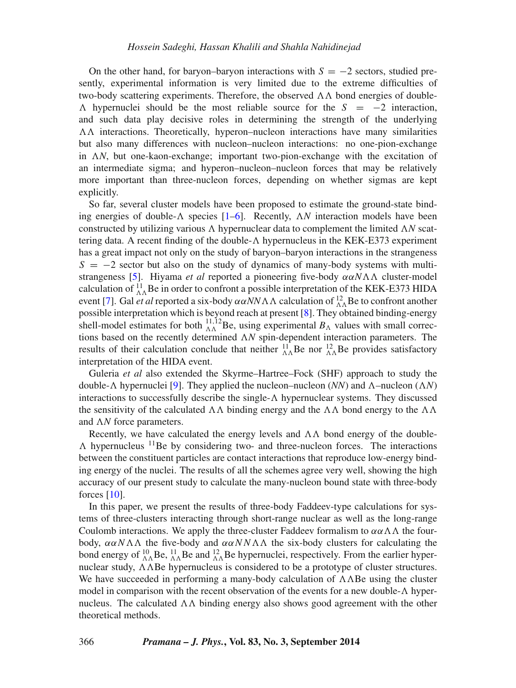On the other hand, for baryon–baryon interactions with  $S = -2$  sectors, studied presently, experimental information is very limited due to the extreme difficulties of two-body scattering experiments. Therefore, the observed  $\Lambda\Lambda$  bond energies of double-*-* hypernuclei should be the most reliable source for the *S* = −2 interaction, and such data play decisive roles in determining the strength of the underlying *--* interactions. Theoretically, hyperon–nucleon interactions have many similarities but also many differences with nucleon–nucleon interactions: no one-pion-exchange in *AN*, but one-kaon-exchange; important two-pion-exchange with the excitation of an intermediate sigma; and hyperon–nucleon–nucleon forces that may be relatively more important than three-nucleon forces, depending on whether sigmas are kept explicitly.

So far, several cluster models have been proposed to estimate the ground-state binding energies of double- $\Lambda$  species  $[1-6]$  $[1-6]$ . Recently,  $\Lambda N$  interaction models have been constructed by utilizing various  $\Lambda$  hypernuclear data to complement the limited  $\Lambda N$  scattering data. A recent finding of the double-*-* hypernucleus in the KEK-E373 experiment has a great impact not only on the study of baryon–baryon interactions in the strangeness  $S = -2$  sector but also on the study of dynamics of many-body systems with multistrangeness [\[5\]](#page-10-2). Hiyama *et al* reported a pioneering five-body *ααN--* cluster-model calculation of  $^{11}_{\Lambda\Lambda}$  Be in order to confront a possible interpretation of the KEK-E373 HIDA event [\[7\]](#page-10-3). Gal *et al* reported a six-body *ααNN--* calculation of <sup>12</sup> *--*Be to confront another possible interpretation which is beyond reach at present [\[8\]](#page-10-4). They obtained binding-energy shell-model estimates for both  $^{11,12}_{\Lambda\Lambda}$ Be, using experimental  $B_\Lambda$  values with small corrections based on the recently determined  $\Lambda N$  spin-dependent interaction parameters. The results of their calculation conclude that neither  ${}_{\Lambda\Lambda}^{11}$  Be nor  ${}_{\Lambda\Lambda}^{12}$  Be provides satisfactory interpretation of the HIDA event.

Guleria *et al* also extended the Skyrme–Hartree–Fock (SHF) approach to study the double- $\Lambda$  hypernuclei [\[9\]](#page-10-5). They applied the nucleon–nucleon (*NN*) and  $\Lambda$ –nucleon ( $\Lambda N$ ) interactions to successfully describe the single-*-* hypernuclear systems. They discussed the sensitivity of the calculated  $\Lambda\Lambda$  binding energy and the  $\Lambda\Lambda$  bond energy to the  $\Lambda\Lambda$ and  $\Lambda N$  force parameters.

Recently, we have calculated the energy levels and  $\Lambda\Lambda$  bond energy of the double-*-* hypernucleus 11Be by considering two- and three-nucleon forces. The interactions between the constituent particles are contact interactions that reproduce low-energy binding energy of the nuclei. The results of all the schemes agree very well, showing the high accuracy of our present study to calculate the many-nucleon bound state with three-body forces  $[10]$ .

In this paper, we present the results of three-body Faddeev-type calculations for systems of three-clusters interacting through short-range nuclear as well as the long-range Coulomb interactions. We apply the three-cluster Faddeev formalism to  $\alpha \alpha \Lambda \Lambda$  the fourbody, *ααN--* the five-body and *ααNN--* the six-body clusters for calculating the bond energy of  $^{10}_{\Lambda\Lambda}$  Be,  $^{11}_{\Lambda\Lambda}$  Be and  $^{12}_{\Lambda\Lambda}$  Be hypernuclei, respectively. From the earlier hypernuclear study,  $\Lambda\Lambda$ Be hypernucleus is considered to be a prototype of cluster structures. We have succeeded in performing a many-body calculation of  $\Lambda\Lambda$ Be using the cluster model in comparison with the recent observation of the events for a new double- $\Lambda$  hypernucleus. The calculated  $\Lambda\Lambda$  binding energy also shows good agreement with the other theoretical methods.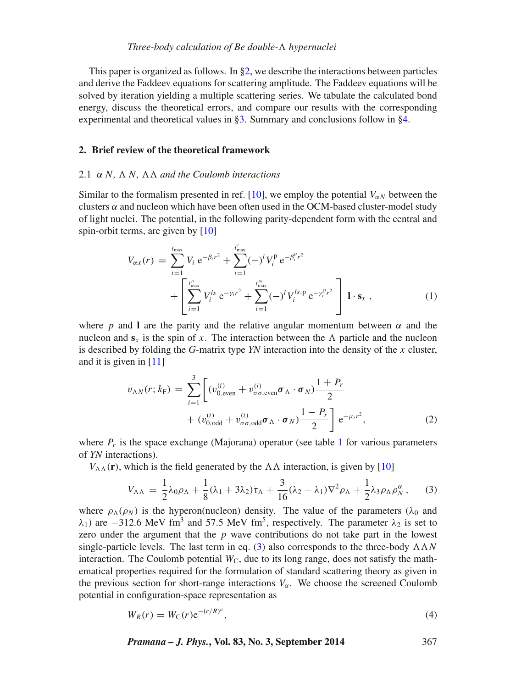This paper is organized as follows. In [§2,](#page-2-0) we describe the interactions between particles and derive the Faddeev equations for scattering amplitude. The Faddeev equations will be solved by iteration yielding a multiple scattering series. We tabulate the calculated bond energy, discuss the theoretical errors, and compare our results with the corresponding experimental and theoretical values in [§3.](#page-6-0) Summary and conclusions follow in [§4.](#page-9-0)

## <span id="page-2-0"></span>**2. Brief review of the theoretical framework**

## 2.1 *α N, -N, -- and the Coulomb interactions*

Similar to the formalism presented in ref. [\[10\]](#page-10-6), we employ the potential  $V_{\alpha N}$  between the clusters  $\alpha$  and nucleon which have been often used in the OCM-based cluster-model study of light nuclei. The potential, in the following parity-dependent form with the central and spin-orbit terms, are given by [\[10\]](#page-10-6)

<span id="page-2-2"></span>
$$
V_{\alpha x}(r) = \sum_{i=1}^{i_{\text{max}}} V_i e^{-\beta_i r^2} + \sum_{i=1}^{i'_{\text{max}}} (-)^l V_i^p e^{-\beta_i^p r^2} + \left[ \sum_{i=1}^{i''_{\text{max}}} V_i^{l} e^{-\gamma_i r^2} + \sum_{i=1}^{i''_{\text{max}}} (-)^l V_i^{l s, p} e^{-\gamma_i^p r^2} \right] \mathbf{1} \cdot \mathbf{s}_x , \qquad (1)
$$

where *p* and **l** are the parity and the relative angular momentum between  $\alpha$  and the nucleon and  $s_x$  is the spin of *x*. The interaction between the  $\Lambda$  particle and the nucleon is described by folding the *G*-matrix type *YN* interaction into the density of the *x* cluster, and it is given in [\[11\]](#page-10-7)

$$
v_{\Lambda N}(r; k_{\rm F}) = \sum_{i=1}^{3} \left[ (v_{0,\text{even}}^{(i)} + v_{\sigma\sigma,\text{even}}^{(i)} \boldsymbol{\sigma}_{\Lambda} \cdot \boldsymbol{\sigma}_{N}) \frac{1+P_r}{2} + (v_{0,\text{odd}}^{(i)} + v_{\sigma\sigma,\text{odd}}^{(i)} \boldsymbol{\sigma}_{\Lambda} \cdot \boldsymbol{\sigma}_{N}) \frac{1-P_r}{2} \right] e^{-\mu_i r^2}, \tag{2}
$$

where  $P_r$  is the space exchange (Majorana) operator (see table [1](#page-3-0) for various parameters of *YN* interactions).

 $V_{\Lambda\Lambda}(\mathbf{r})$ , which is the field generated by the  $\Lambda\Lambda$  interaction, is given by [\[10\]](#page-10-6)

<span id="page-2-1"></span>
$$
V_{\Lambda\Lambda} = \frac{1}{2}\lambda_0\rho_\Lambda + \frac{1}{8}(\lambda_1 + 3\lambda_2)\tau_\Lambda + \frac{3}{16}(\lambda_2 - \lambda_1)\nabla^2\rho_\Lambda + \frac{1}{2}\lambda_3\rho_\Lambda\rho_N^\alpha, \quad (3)
$$

where  $\rho_{\Lambda}(\rho_N)$  is the hyperon(nucleon) density. The value of the parameters ( $\lambda_0$  and *λ*<sub>1</sub>) are −312.6 MeV fm<sup>3</sup> and 57.5 MeV fm<sup>5</sup>, respectively. The parameter  $λ_2$  is set to zero under the argument that the *p* wave contributions do not take part in the lowest single-particle levels. The last term in eq. [\(3\)](#page-2-1) also corresponds to the three-body  $\Lambda \Lambda N$ interaction. The Coulomb potential  $W_C$ , due to its long range, does not satisfy the mathematical properties required for the formulation of standard scattering theory as given in the previous section for short-range interactions  $V_\alpha$ . We choose the screened Coulomb potential in configuration-space representation as

$$
W_R(r) = W_C(r) e^{-(r/R)^n},
$$
\n(4)

*Pramana – J. Phys.***, Vol. 83, No. 3, September 2014** 367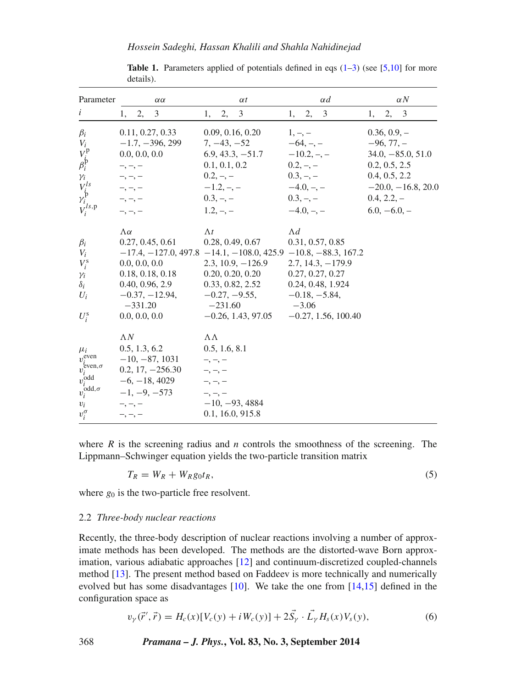*Hossein Sadeghi, Hassan Khalili and Shahla Nahidinejad*

<span id="page-3-0"></span>

| Parameter                                                                                                                            | $\alpha\alpha$                                                                                                                                | $\alpha t$                                                                                                                                                                                                                | $\alpha$ d                                                                                                                                             | $\alpha N$                                                                                                                                         |
|--------------------------------------------------------------------------------------------------------------------------------------|-----------------------------------------------------------------------------------------------------------------------------------------------|---------------------------------------------------------------------------------------------------------------------------------------------------------------------------------------------------------------------------|--------------------------------------------------------------------------------------------------------------------------------------------------------|----------------------------------------------------------------------------------------------------------------------------------------------------|
| i                                                                                                                                    | 2,<br>3<br>1,                                                                                                                                 | 3<br>2,<br>1,                                                                                                                                                                                                             | 3<br>2,<br>1,                                                                                                                                          | 2,<br>3<br>1,                                                                                                                                      |
| $\beta_i$<br>$V_i$<br>$V^{\rm p}_{\dot\beta}$<br>$\gamma_i$<br>$V^{ls}_{\dot{p}}$<br>$V_i^{ls,p}$                                    | 0.11, 0.27, 0.33<br>$-1.7, -396, 299$<br>0.0, 0.0, 0.0<br>$-$ , $-$ , $-$<br>$-$ , $-$ , $-$<br>$-,-,-$<br>$-,-,-$<br>$-,-,-$                 | 0.09, 0.16, 0.20<br>$7, -43, -52$<br>$6.9, 43.3, -51.7$<br>0.1, 0.1, 0.2<br>$0.2, -,-$<br>$-1.2, -,-$<br>$0.3, -,-$<br>$1.2, -,-$                                                                                         | $1, -, -$<br>$-64, -$<br>$-10.2, -$<br>$0.2, -,-$<br>$0.3, -,-$<br>$-4.0, -$<br>$0.3, -,-$<br>$-4.0, -, -$                                             | $0.36, 0.9, -$<br>$-96, 77, -$<br>$34.0, -85.0, 51.0$<br>0.2, 0.5, 2.5<br>0.4, 0.5, 2.2<br>$-20.0, -16.8, 20.0$<br>$0.4, 2.2, -$<br>$6.0, -6.0, -$ |
| $\beta_i$<br>$V_i$<br>$V_i^{\rm s}$<br>$\gamma_i$<br>$\delta_i$<br>$U_i$<br>$U_i^{\rm s}$                                            | $\Lambda\alpha$<br>0.27, 0.45, 0.61<br>0.0, 0.0, 0.0<br>0.18, 0.18, 0.18<br>0.40, 0.96, 2.9<br>$-0.37, -12.94,$<br>$-331.20$<br>0.0, 0.0, 0.0 | $\Lambda t$<br>0.28, 0.49, 0.67<br>$-17.4, -127.0, 497.8 -14.1, -108.0, 425.9 -10.8, -88.3, 167.2$<br>$2.3, 10.9, -126.9$<br>0.20, 0.20, 0.20<br>0.33, 0.82, 2.52<br>$-0.27, -9.55,$<br>$-231.60$<br>$-0.26, 1.43, 97.05$ | $\Lambda d$<br>0.31, 0.57, 0.85<br>$2.7, 14.3, -179.9$<br>0.27, 0.27, 0.27<br>0.24, 0.48, 1.924<br>$-0.18, -5.84,$<br>$-3.06$<br>$-0.27, 1.56, 100.40$ |                                                                                                                                                    |
| $\mu_i$<br>$v^{even}$<br>$v_i^{\text{even}, \sigma}$<br>$v_i^{\text{odd}}$<br>$v^{\mathrm{odd},\sigma}_i$<br>$v_i$<br>$v_i^{\sigma}$ | $\Lambda N$<br>0.5, 1.3, 6.2<br>$-10, -87, 1031$<br>$0.2, 17, -256.30$<br>$-6, -18, 4029$<br>$-1, -9, -573$<br>$-$ , $-$ , $-$<br>$-,-,-$     | ΛΛ<br>0.5, 1.6, 8.1<br>$-,-,-$<br>$-$ , $-$ , $-$<br>$-$ , $-$ , $-$<br>$-10, -93, 4884$<br>0.1, 16.0, 915.8                                                                                                              |                                                                                                                                                        |                                                                                                                                                    |

**Table 1.** Parameters applied of potentials defined in eqs  $(1-3)$  $(1-3)$  (see [\[5](#page-10-2)[,10\]](#page-10-6) for more details).

where  $R$  is the screening radius and  $n$  controls the smoothness of the screening. The Lippmann–Schwinger equation yields the two-particle transition matrix

$$
T_R = W_R + W_R g_0 t_R, \tag{5}
$$

where  $g_0$  is the two-particle free resolvent.

## 2.2 *Three-body nuclear reactions*

Recently, the three-body description of nuclear reactions involving a number of approximate methods has been developed. The methods are the distorted-wave Born approximation, various adiabatic approaches [\[12\]](#page-10-8) and continuum-discretized coupled-channels method [\[13\]](#page-10-9). The present method based on Faddeev is more technically and numerically evolved but has some disadvantages [\[10\]](#page-10-6). We take the one from [\[14](#page-10-10)[,15\]](#page-10-11) defined in the configuration space as

$$
v_{\gamma}(\vec{r}', \vec{r}) = H_c(x)[V_c(y) + iW_c(y)] + 2\vec{S}_{\gamma} \cdot \vec{L}_{\gamma} H_s(x)V_s(y), \tag{6}
$$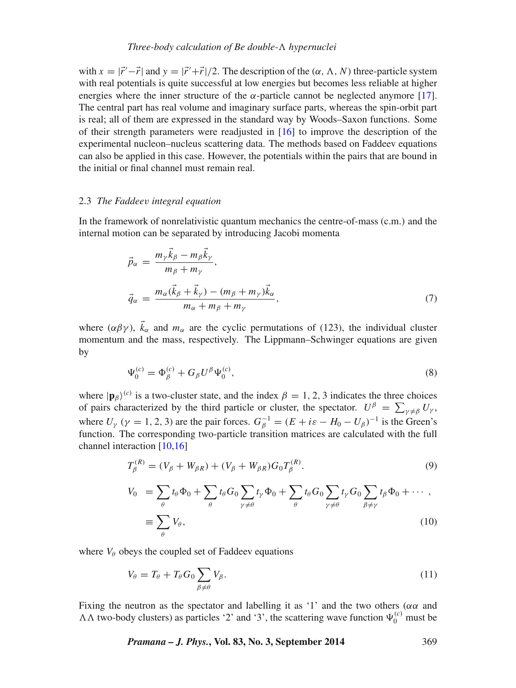# *Three-body calculation of Be double-- hypernuclei*

with  $x = |\vec{r}' - \vec{r}|$  and  $y = |\vec{r}' + \vec{r}|/2$ . The description of the  $(\alpha, \Lambda, N)$  three-particle system with real potentials is quite successful at low energies but becomes less reliable at higher energies where the inner structure of the  $\alpha$ -particle cannot be neglected anymore [\[17\]](#page-10-12). The central part has real volume and imaginary surface parts, whereas the spin-orbit part is real; all of them are expressed in the standard way by Woods–Saxon functions. Some of their strength parameters were readjusted in  $[16]$  to improve the description of the experimental nucleon–nucleus scattering data. The methods based on Faddeev equations can also be applied in this case. However, the potentials within the pairs that are bound in the initial or final channel must remain real.

#### 2.3 *The Faddeev integral equation*

In the framework of nonrelativistic quantum mechanics the centre-of-mass (c.m.) and the internal motion can be separated by introducing Jacobi momenta

$$
\vec{p}_{\alpha} = \frac{m_{\gamma}\vec{k}_{\beta} - m_{\beta}\vec{k}_{\gamma}}{m_{\beta} + m_{\gamma}},
$$
\n
$$
\vec{q}_{\alpha} = \frac{m_{\alpha}(\vec{k}_{\beta} + \vec{k}_{\gamma}) - (m_{\beta} + m_{\gamma})\vec{k}_{\alpha}}{m_{\alpha} + m_{\beta} + m_{\gamma}},
$$
\n(7)

where  $(\alpha\beta\gamma)$ ,  $\vec{k}_{\alpha}$  and  $m_{\alpha}$  are the cyclic permutations of (123), the individual cluster momentum and the mass, respectively. The Lippmann–Schwinger equations are given by

$$
\Psi_0^{(c)} = \Phi_\beta^{(c)} + G_\beta U^\beta \Psi_0^{(c)},\tag{8}
$$

where  $|\mathbf{p}_{\beta}\rangle^{(c)}$  is a two-cluster state, and the index  $\beta = 1, 2, 3$  indicates the three choices of pairs characterized by the third particle or cluster, the spectator.  $U^{\beta} = \sum_{\gamma \neq \beta} U_{\gamma}$ , where  $U_{\gamma}$  ( $\gamma = 1, 2, 3$ ) are the pair forces.  $G_{\beta}^{-1} = (E + i\varepsilon - H_0 - U_{\beta})^{-1}$  is the Green's function. The corresponding two-particle transition matrices are calculated with the full channel interaction [\[10](#page-10-6)[,16\]](#page-10-13)

$$
T_{\beta}^{(R)} = (V_{\beta} + W_{\beta R}) + (V_{\beta} + W_{\beta R})G_0 T_{\beta}^{(R)}.
$$
\n(9)

$$
V_0 = \sum_{\theta} t_{\theta} \Phi_0 + \sum_{\theta} t_{\theta} G_0 \sum_{\gamma \neq \theta} t_{\gamma} \Phi_0 + \sum_{\theta} t_{\theta} G_0 \sum_{\gamma \neq \theta} t_{\gamma} G_0 \sum_{\beta \neq \gamma} t_{\beta} \Phi_0 + \cdots ,
$$
  

$$
\equiv \sum_{\theta} V_{\theta}, \qquad (10)
$$

where  $V_\theta$  obeys the coupled set of Faddeev equations

$$
V_{\theta} = T_{\theta} + T_{\theta} G_0 \sum_{\beta \neq \theta} V_{\beta}.
$$
\n(11)

Fixing the neutron as the spectator and labelling it as '1' and the two others ( $\alpha \alpha$  and  $\Lambda\Lambda$  two-body clusters) as particles '2' and '3', the scattering wave function  $\Psi_0^{(c)}$  must be

*Pramana – J. Phys.***, Vol. 83, No. 3, September 2014** 369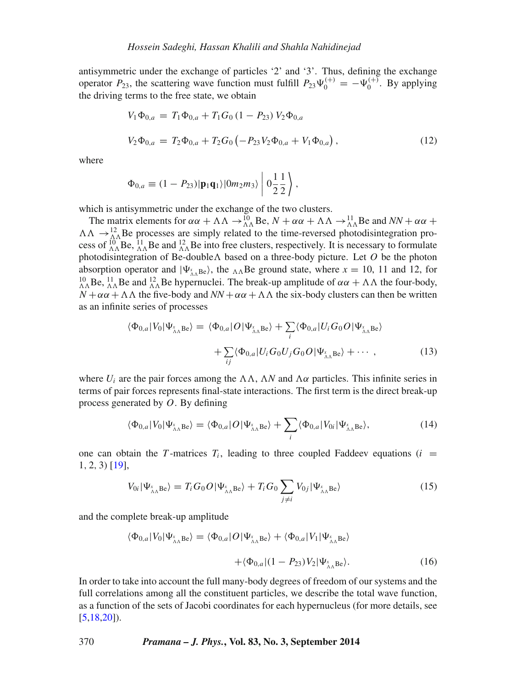antisymmetric under the exchange of particles '2' and '3'. Thus, defining the exchange operator  $P_{23}$ , the scattering wave function must fulfill  $P_{23}\Psi_0^{(+)} = -\Psi_0^{(+)}$ . By applying the driving terms to the free state, we obtain

$$
V_1 \Phi_{0,a} = T_1 \Phi_{0,a} + T_1 G_0 (1 - P_{23}) V_2 \Phi_{0,a}
$$
  
\n
$$
V_2 \Phi_{0,a} = T_2 \Phi_{0,a} + T_2 G_0 (-P_{23} V_2 \Phi_{0,a} + V_1 \Phi_{0,a}),
$$
\n(12)

where

$$
\Phi_{0,a} \equiv (1 - P_{23}) |\mathbf{p}_1 \mathbf{q}_1\rangle |0m_2 m_3\rangle \left| 0 \frac{1}{2} \frac{1}{2} \right|,
$$

which is antisymmetric under the exchange of the two clusters.

The matrix elements for  $\alpha\alpha + \Lambda\Lambda \rightarrow_{\Lambda\Lambda}^{10}$  Be,  $N + \alpha\alpha + \Lambda\Lambda \rightarrow_{\Lambda\Lambda}^{11}$  Be and  $NN + \alpha\alpha +$  $\Lambda\Lambda \rightarrow \frac{12}{\Lambda\Lambda}$ Be processes are simply related to the time-reversed photodisintegration process of  $^{10}_{\Lambda\Lambda}$ Be,  $^{11}_{\Lambda\Lambda}$ Be and  $^{12}_{\Lambda\Lambda}$ Be into free clusters, respectively. It is necessary to formulate photodisintegration of Be-double $\Lambda$  based on a three-body picture. Let  $O$  be the photon absorption operator and  $|\Psi_{\lambda_{AB}}^xB_R\rangle$ , the  $\Delta_{AB}^xB_R$  ground state, where  $x = 10$ , 11 and 12, for <sup>10</sup> *A*<sub>A</sub> Be,  $^{11}_{A\Lambda}$  Be and  $^{12}_{A\Lambda}$  Be hypernuclei. The break-up amplitude of *αα* +  $ΛΛ$  the four-body,  $N + \alpha \alpha + \Lambda \Lambda$  the five-body and  $NN + \alpha \alpha + \Lambda \Lambda$  the six-body clusters can then be written as an infinite series of processes

$$
\langle \Phi_{0,a} | V_0 | \Psi_{\lambda_{\Lambda}} \mathbf{B} e \rangle = \langle \Phi_{0,a} | O | \Psi_{\lambda_{\Lambda}} \mathbf{B} e \rangle + \sum_i \langle \Phi_{0,a} | U_i G_0 O | \Psi_{\lambda_{\Lambda}} \mathbf{B} e \rangle + \sum_{ij} \langle \Phi_{0,a} | U_i G_0 U_j G_0 O | \Psi_{\lambda_{\Lambda}} \mathbf{B} e \rangle + \cdots,
$$
(13)

where  $U_i$  are the pair forces among the  $\Lambda\Lambda$ ,  $\Lambda N$  and  $\Lambda\alpha$  particles. This infinite series in terms of pair forces represents final-state interactions. The first term is the direct break-up process generated by *O*. By defining

$$
\langle \Phi_{0,a} | V_0 | \Psi_{\Lambda_{\Lambda}} \mathbf{B} e \rangle = \langle \Phi_{0,a} | O | \Psi_{\Lambda_{\Lambda}} \mathbf{B} e \rangle + \sum_i \langle \Phi_{0,a} | V_{0i} | \Psi_{\Lambda_{\Lambda}} \mathbf{B} e \rangle, \tag{14}
$$

one can obtain the *T*-matrices  $T_i$ , leading to three coupled Faddeev equations ( $i =$ 1*,* 2*,* 3) [\[19\]](#page-10-14),

$$
V_{0i}|\Psi_{\Lambda\Lambda}^{s}{}_{\Lambda}{}_{e}\rangle = T_{i}G_{0}O|\Psi_{\Lambda\Lambda}^{s}{}_{\Lambda}{}_{e}\rangle + T_{i}G_{0}\sum_{j\neq i}V_{0j}|\Psi_{\Lambda\Lambda}^{s}{}_{\Lambda}{}_{e}\rangle
$$
\n(15)

and the complete break-up amplitude

$$
\langle \Phi_{0,a} | V_0 | \Psi_{\Lambda_{\Lambda}} \mathbf{B} e \rangle = \langle \Phi_{0,a} | O | \Psi_{\Lambda_{\Lambda}} \mathbf{B} e \rangle + \langle \Phi_{0,a} | V_1 | \Psi_{\Lambda_{\Lambda}} \mathbf{B} e \rangle
$$

$$
+ \langle \Phi_{0,a} | (1 - P_{23}) V_2 | \Psi_{\Lambda_{\Lambda}} \mathbf{B} e \rangle. \tag{16}
$$

In order to take into account the full many-body degrees of freedom of our systems and the full correlations among all the constituent particles, we describe the total wave function, as a function of the sets of Jacobi coordinates for each hypernucleus (for more details, see  $[5,18,20]$  $[5,18,20]$  $[5,18,20]$ .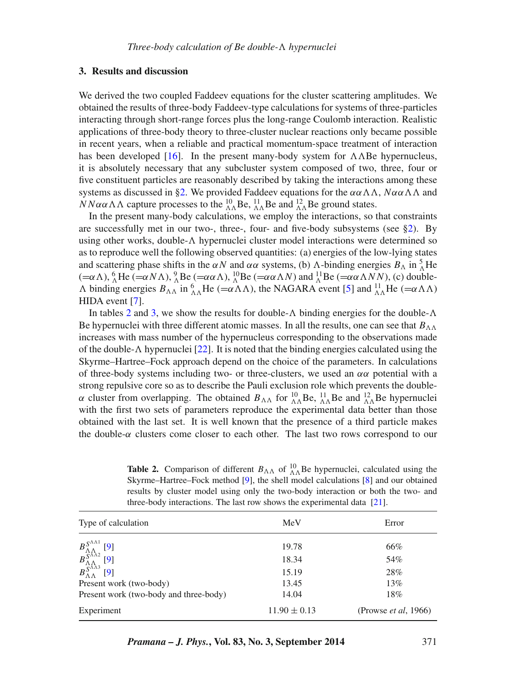# <span id="page-6-0"></span>**3. Results and discussion**

We derived the two coupled Faddeev equations for the cluster scattering amplitudes. We obtained the results of three-body Faddeev-type calculations for systems of three-particles interacting through short-range forces plus the long-range Coulomb interaction. Realistic applications of three-body theory to three-cluster nuclear reactions only became possible in recent years, when a reliable and practical momentum-space treatment of interaction has been developed  $[16]$ . In the present many-body system for  $\Lambda\Lambda$ Be hypernucleus, it is absolutely necessary that any subcluster system composed of two, three, four or five constituent particles are reasonably described by taking the interactions among these systems as discussed in [§2.](#page-2-0) We provided Faddeev equations for the  $\alpha \alpha \Lambda \Lambda$ ,  $N \alpha \alpha \Lambda \Lambda$  and *NNαα* $\Lambda$  $\Lambda$  capture processes to the  ${}_{\Lambda\Lambda}^{10}$ Be,  ${}_{\Lambda\Lambda}^{11}$ Be and  ${}_{\Lambda\Lambda}^{12}$ Be ground states.

In the present many-body calculations, we employ the interactions, so that constraints are successfully met in our two-, three-, four- and five-body subsystems (see [§2\)](#page-2-0). By using other works, double- $\Lambda$  hypernuclei cluster model interactions were determined so as to reproduce well the following observed quantities: (a) energies of the low-lying states and scattering phase shifts in the *αN* and *αα* systems, (b)  $\Lambda$ -binding energies  $B_{\Lambda}$  in  ${}_{\Lambda}^{5}$ He  $(=\alpha \Lambda)$ ,  ${}_{\Lambda}^{6}$ He  $(=\alpha N \Lambda)$ ,  ${}_{\Lambda}^{9}$ Be  $(=\alpha \alpha \Lambda)$ ,  ${}_{\Lambda}^{10}$ Be  $(=\alpha \alpha \Lambda N)$  and  ${}_{\Lambda}^{11}$ Be  $(=\alpha \alpha \Lambda NN)$ , (c) double- $\Lambda$  binding energies  $B_{\Lambda\Lambda}$  in  ${}_{\Lambda\Lambda}^6$  He (= $\alpha \Lambda \Lambda$ ), the NAGARA event [\[5\]](#page-10-2) and  ${}_{\Lambda\Lambda}^{11}$  He (= $\alpha \Lambda \Lambda$ ) HIDA event [\[7\]](#page-10-3).

In tables [2](#page-6-1) and [3,](#page-7-0) we show the results for double-*-* binding energies for the double-*-* Be hypernuclei with three different atomic masses. In all the results, one can see that  $B_{\Lambda\Lambda}$ increases with mass number of the hypernucleus corresponding to the observations made of the double- $\Lambda$  hypernuclei [\[22\]](#page-10-17). It is noted that the binding energies calculated using the Skyrme–Hartree–Fock approach depend on the choice of the parameters. In calculations of three-body systems including two- or three-clusters, we used an *αα* potential with a strong repulsive core so as to describe the Pauli exclusion role which prevents the double*α* cluster from overlapping. The obtained  $B_{\Lambda\Lambda}$  for  ${}^{10}_{\Lambda\Lambda}$  Be,  ${}^{11}_{\Lambda\Lambda}$  Be and  ${}^{12}_{\Lambda\Lambda}$  Be hypernuclei with the first two sets of parameters reproduce the experimental data better than those obtained with the last set. It is well known that the presence of a third particle makes the double-*α* clusters come closer to each other. The last two rows correspond to our

<span id="page-6-1"></span>**Table 2.** Comparison of different  $B_{\Lambda\Lambda}$  of  ${}_{\Lambda\Lambda}^{10}$  Be hypernuclei, calculated using the Skyrme–Hartree–Fock method [\[9\]](#page-10-5), the shell model calculations [\[8\]](#page-10-4) and our obtained results by cluster model using only the two-body interaction or both the two- and three-body interactions. The last row shows the experimental data [\[21\]](#page-10-18).

| Type of calculation                                                                                                                                                                                                                                                                 | MeV              | Error                         |  |
|-------------------------------------------------------------------------------------------------------------------------------------------------------------------------------------------------------------------------------------------------------------------------------------|------------------|-------------------------------|--|
| $\begin{array}{c} B_{\Lambda\Lambda}^{S^{\Lambda\Lambda 1}} \left[ 9 \right] \\ B_{\Lambda\Lambda}^{S^{\Lambda\Lambda 2}} \left[ 9 \right] \\ B_{\Lambda\Lambda}^{S^{\Lambda\Lambda 3}} \left[ 9 \right] \\ B_{\Lambda\Lambda}^{S^{\Lambda\Lambda 3}} \left[ 9 \right] \end{array}$ | 19.78            | 66%                           |  |
|                                                                                                                                                                                                                                                                                     | 18.34            | 54%                           |  |
|                                                                                                                                                                                                                                                                                     | 15.19            | 28%                           |  |
| Present work (two-body)                                                                                                                                                                                                                                                             | 13.45            | 13%                           |  |
| Present work (two-body and three-body)                                                                                                                                                                                                                                              | 14.04            | 18%                           |  |
| Experiment                                                                                                                                                                                                                                                                          | $11.90 \pm 0.13$ | (Prowse <i>et al.</i> , 1966) |  |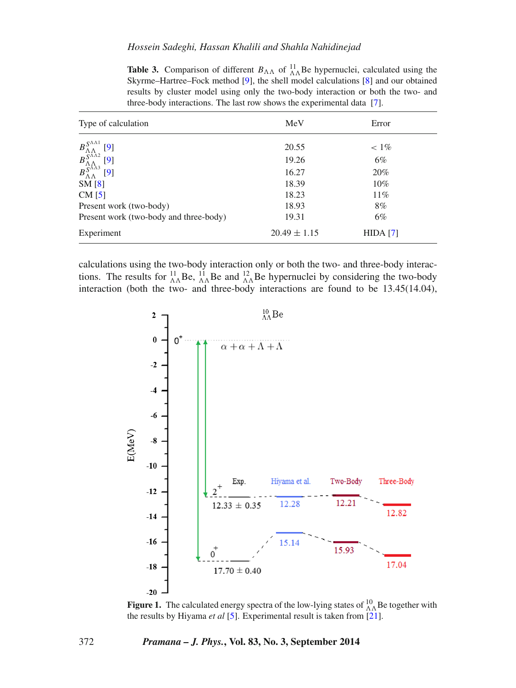<span id="page-7-0"></span>

| Type of calculation                                                                                                                                                                                                                 | MeV              | Error    |  |
|-------------------------------------------------------------------------------------------------------------------------------------------------------------------------------------------------------------------------------------|------------------|----------|--|
| $\begin{array}{c} B_{\Lambda\Lambda}^{S^{\Lambda\Lambda 1}}\\ B_{\Lambda\Lambda}^{S^{\Lambda\Lambda 2}}\\ B_{\Lambda\Lambda}^{S^{\Lambda\Lambda 3}}\\ B_{\Lambda\Lambda}^{S^{\Lambda\Lambda 3}} \end{array}$<br>$\lbrack 9 \rbrack$ | 20.55            | $< 1\%$  |  |
| [9]                                                                                                                                                                                                                                 | 19.26            | $6\%$    |  |
| [9]                                                                                                                                                                                                                                 | 16.27            | 20%      |  |
| SM[8]                                                                                                                                                                                                                               | 18.39            | $10\%$   |  |
| $CM$ [5]                                                                                                                                                                                                                            | 18.23            | 11%      |  |
| Present work (two-body)                                                                                                                                                                                                             | 18.93            | 8%       |  |
| Present work (two-body and three-body)                                                                                                                                                                                              | 19.31            | $6\%$    |  |
| Experiment                                                                                                                                                                                                                          | $20.49 \pm 1.15$ | HIDA [7] |  |

**Table 3.** Comparison of different  $B_{\Lambda\Lambda}$  of  $^{11}_{\Lambda\Lambda}$  Be hypernuclei, calculated using the Skyrme–Hartree–Fock method [\[9\]](#page-10-5), the shell model calculations [\[8\]](#page-10-4) and our obtained results by cluster model using only the two-body interaction or both the two- and three-body interactions. The last row shows the experimental data [\[7\]](#page-10-3).

calculations using the two-body interaction only or both the two- and three-body interactions. The results for  ${}_{\Lambda\Lambda}^{11}$  Be,  ${}_{\Lambda\Lambda}^{11}$  Be and  ${}_{\Lambda\Lambda}^{12}$  Be hypernuclei by considering the two-body interaction (both the two- and three-body interactions are found to be 13.45(14.04),

<span id="page-7-1"></span>

**Figure 1.** The calculated energy spectra of the low-lying states of  $^{10}_{\Lambda\Lambda}$ Be together with the results by Hiyama *et al* [\[5\]](#page-10-2). Experimental result is taken from [\[21\]](#page-10-18).

### 372 *Pramana – J. Phys.***, Vol. 83, No. 3, September 2014**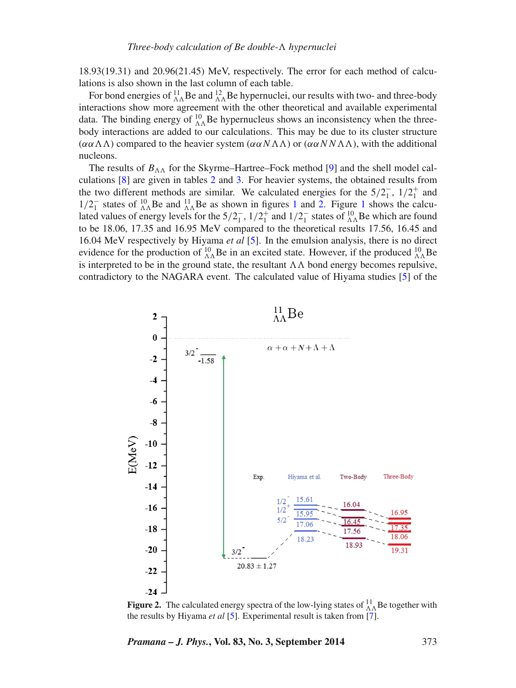18.93(19.31) and 20.96(21.45) MeV, respectively. The error for each method of calculations is also shown in the last column of each table.

For bond energies of  $^{11}_{\Lambda\Lambda}$  Be and  $^{12}_{\Lambda\Lambda}$  Be hypernuclei, our results with two- and three-body interactions show more agreement with the other theoretical and available experimental data. The binding energy of  $^{10}_{\Lambda\Lambda}$  Be hypernucleus shows an inconsistency when the threebody interactions are added to our calculations. This may be due to its cluster structure  $(\alpha \alpha \Lambda \Lambda)$  compared to the heavier system  $(\alpha \alpha N \Lambda \Lambda)$  or  $(\alpha \alpha N N \Lambda \Lambda)$ , with the additional nucleons.

The results of  $B_{\Lambda\Lambda}$  for the Skyrme–Hartree–Fock method [\[9\]](#page-10-5) and the shell model calculations [\[8\]](#page-10-4) are given in tables [2](#page-6-1) and [3.](#page-7-0) For heavier systems, the obtained results from the two different methods are similar. We calculated energies for the  $5/2<sub>1</sub><sup>-</sup>$ ,  $1/2<sub>1</sub><sup>+</sup>$  and  $1/2^-_1$  $1/2^-_1$  states of  $^{10}_{\Lambda\Lambda}$ Be and  $^{11}_{\Lambda\Lambda}$ Be as shown in figures 1 and [2.](#page-8-0) Figure 1 shows the calculated values of energy levels for the  $5/2^-_1$ ,  $1/2^+_1$  and  $1/2^-_1$  states of  $^{10}_{\Lambda\Lambda}$ Be which are found to be 18.06, 17.35 and 16.95 MeV compared to the theoretical results 17.56, 16.45 and 16.04 MeV respectively by Hiyama *et al* [\[5\]](#page-10-2). In the emulsion analysis, there is no direct evidence for the production of  $^{10}_{\Lambda\Lambda}$ Be in an excited state. However, if the produced  $^{10}_{\Lambda\Lambda}$ Be is interpreted to be in the ground state, the resultant  $\Lambda\Lambda$  bond energy becomes repulsive, contradictory to the NAGARA event. The calculated value of Hiyama studies [\[5\]](#page-10-2) of the

<span id="page-8-0"></span>

**Figure 2.** The calculated energy spectra of the low-lying states of  $^{11}_{\Lambda\Lambda}$  Be together with the results by Hiyama *et al* [\[5\]](#page-10-2). Experimental result is taken from [\[7\]](#page-10-3).

*Pramana – J. Phys.***, Vol. 83, No. 3, September 2014** 373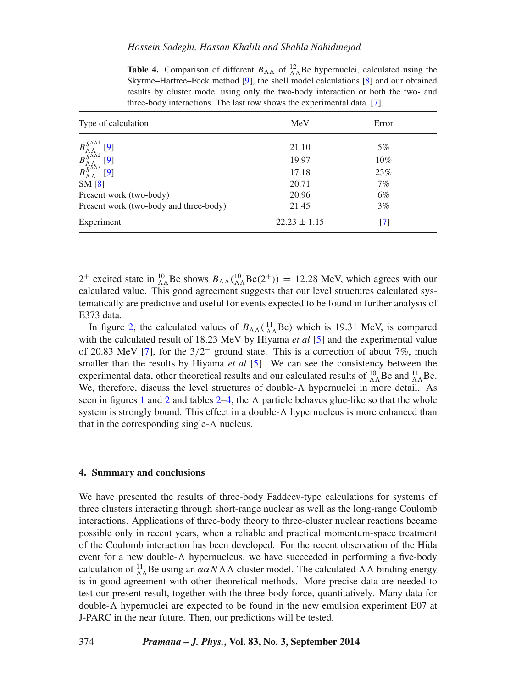| Type of calculation                                                                                                                                                                       | MeV              | Error  |  |  |
|-------------------------------------------------------------------------------------------------------------------------------------------------------------------------------------------|------------------|--------|--|--|
| $\begin{array}{c} B_{\Lambda\Lambda}^{S^{\Lambda\Lambda 1}}\\ B_{\Lambda\Lambda}^{S^{\Lambda\Lambda 2}}\\ B_{\Lambda\Lambda}^{S^{\Lambda\Lambda 3}}\\ \end{array}$<br>$\lbrack 9 \rbrack$ | 21.10            | 5%     |  |  |
| [9]                                                                                                                                                                                       | 19.97            | $10\%$ |  |  |
| [9]                                                                                                                                                                                       | 17.18            | 23%    |  |  |
| SM[8]                                                                                                                                                                                     | 20.71            | 7%     |  |  |
| Present work (two-body)                                                                                                                                                                   | 20.96            | 6%     |  |  |
| Present work (two-body and three-body)                                                                                                                                                    | 21.45            | 3%     |  |  |
| Experiment                                                                                                                                                                                | $22.23 \pm 1.15$ | [7]    |  |  |
|                                                                                                                                                                                           |                  |        |  |  |

<span id="page-9-1"></span>**Table 4.** Comparison of different  $B_{\Lambda\Lambda}$  of  ${}_{\Lambda\Lambda}^{12}$  Be hypernuclei, calculated using the Skyrme–Hartree–Fock method [\[9\]](#page-10-5), the shell model calculations [\[8\]](#page-10-4) and our obtained results by cluster model using only the two-body interaction or both the two- and three-body interactions. The last row shows the experimental data [\[7\]](#page-10-3).

<sup>2+</sup> excited state in  ${}^{10}_{\Lambda\Lambda}$ Be shows  $B_{\Lambda\Lambda}({}^{10}_{\Lambda\Lambda}$ Be(2<sup>+</sup>)) = 12.28 MeV, which agrees with our calculated value. This good agreement suggests that our level structures calculated systematically are predictive and useful for events expected to be found in further analysis of E373 data.

In figure [2,](#page-8-0) the calculated values of  $B_{\Lambda\Lambda}({}^{11}_{\Lambda\Lambda}Be)$  which is 19.31 MeV, is compared with the calculated result of 18.23 MeV by Hiyama *et al* [\[5\]](#page-10-2) and the experimental value of 20.83 MeV [\[7\]](#page-10-3), for the 3*/*2<sup>−</sup> ground state. This is a correction of about 7%, much smaller than the results by Hiyama *et al* [\[5\]](#page-10-2). We can see the consistency between the experimental data, other theoretical results and our calculated results of  $^{10}_{\Lambda\Lambda}$ Be and  $^{11}_{\Lambda\Lambda}$ Be. We, therefore, discuss the level structures of double- $\Lambda$  hypernuclei in more detail. As seen in figures [1](#page-7-1) and [2](#page-8-0) and tables  $2-4$ , the  $\Lambda$  particle behaves glue-like so that the whole system is strongly bound. This effect in a double-*-* hypernucleus is more enhanced than that in the corresponding single-*-* nucleus.

## <span id="page-9-0"></span>**4. Summary and conclusions**

We have presented the results of three-body Faddeev-type calculations for systems of three clusters interacting through short-range nuclear as well as the long-range Coulomb interactions. Applications of three-body theory to three-cluster nuclear reactions became possible only in recent years, when a reliable and practical momentum-space treatment of the Coulomb interaction has been developed. For the recent observation of the Hida event for a new double- $\Lambda$  hypernucleus, we have succeeded in performing a five-body calculation of  $^{11}_{\Lambda\Lambda}$ Be using an  $\alpha\alpha N\Lambda\Lambda$  cluster model. The calculated  $\Lambda\Lambda$  binding energy is in good agreement with other theoretical methods. More precise data are needed to test our present result, together with the three-body force, quantitatively. Many data for double-*-* hypernuclei are expected to be found in the new emulsion experiment E07 at J-PARC in the near future. Then, our predictions will be tested.